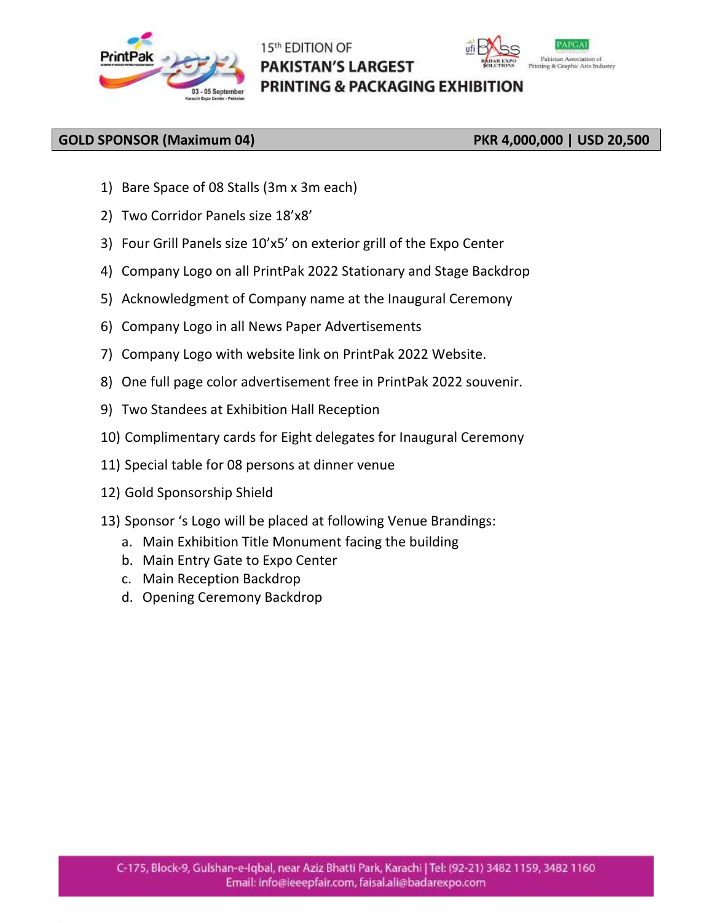

# 15th EDITION OF **PAKISTAN'S LARGEST PRINTING & PACKAGING EXHIBITION**



### **GOLD SPONSOR (Maximum 04) PKR 4,000,000 | USD 20,500**

- 1) Bare Space of 08 Stalls (3m x 3m each)
- 2) Two Corridor Panels size 18'x8'
- 3) Four Grill Panels size 10'x5' on exterior grill of the Expo Center
- 4) Company Logo on all PrintPak 2022 Stationary and Stage Backdrop
- 5) Acknowledgment of Company name at the Inaugural Ceremony
- 6) Company Logo in all News Paper Advertisements
- 7) Company Logo with website link on PrintPak 2022 Website.
- 8) One full page color advertisement free in PrintPak 2022 souvenir.
- 9) Two Standees at Exhibition Hall Reception
- 10) Complimentary cards for Eight delegates for Inaugural Ceremony
- 11) Special table for 08 persons at dinner venue
- 12) Gold Sponsorship Shield
- 13) Sponsor 's Logo will be placed at following Venue Brandings:
	- a. Main Exhibition Title Monument facing the building
	- b. Main Entry Gate to Expo Center
	- c. Main Reception Backdrop
	- d. Opening Ceremony Backdrop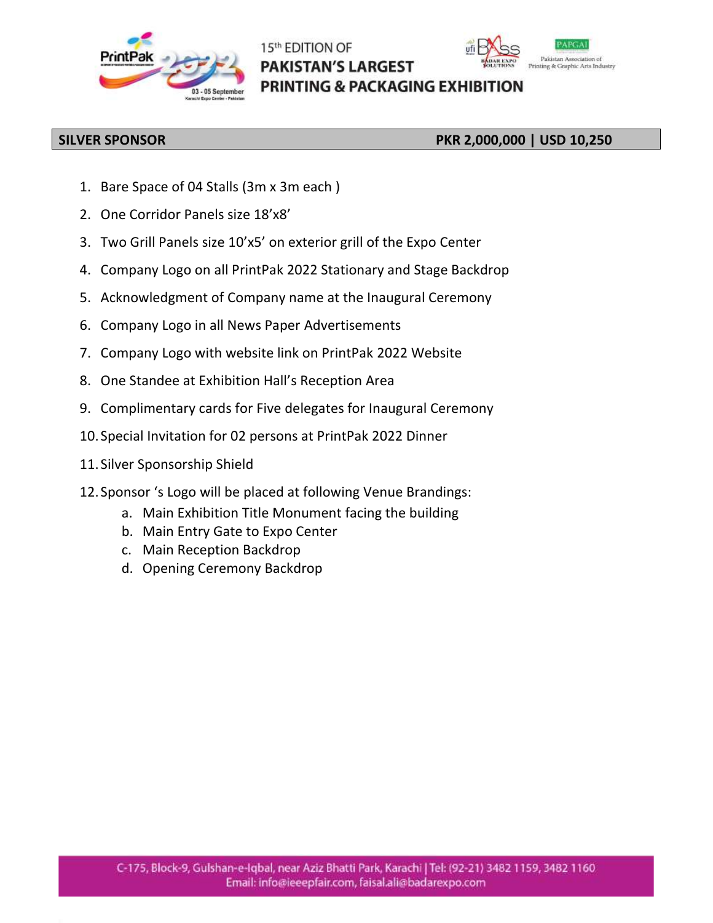

# 15th EDITION OF **PAKISTAN'S LARGEST PRINTING & PACKAGING EXHIBITION**



## **SILVER SPONSOR PKR 2,000,000 | USD 10,250**

- 1. Bare Space of 04 Stalls (3m x 3m each )
- 2. One Corridor Panels size 18'x8'
- 3. Two Grill Panels size 10'x5' on exterior grill of the Expo Center
- 4. Company Logo on all PrintPak 2022 Stationary and Stage Backdrop
- 5. Acknowledgment of Company name at the Inaugural Ceremony
- 6. Company Logo in all News Paper Advertisements
- 7. Company Logo with website link on PrintPak 2022 Website
- 8. One Standee at Exhibition Hall's Reception Area
- 9. Complimentary cards for Five delegates for Inaugural Ceremony
- 10. Special Invitation for 02 persons at PrintPak 2022 Dinner
- 11. Silver Sponsorship Shield
- 12. Sponsor 's Logo will be placed at following Venue Brandings:
	- a. Main Exhibition Title Monument facing the building
	- b. Main Entry Gate to Expo Center
	- c. Main Reception Backdrop
	- d. Opening Ceremony Backdrop